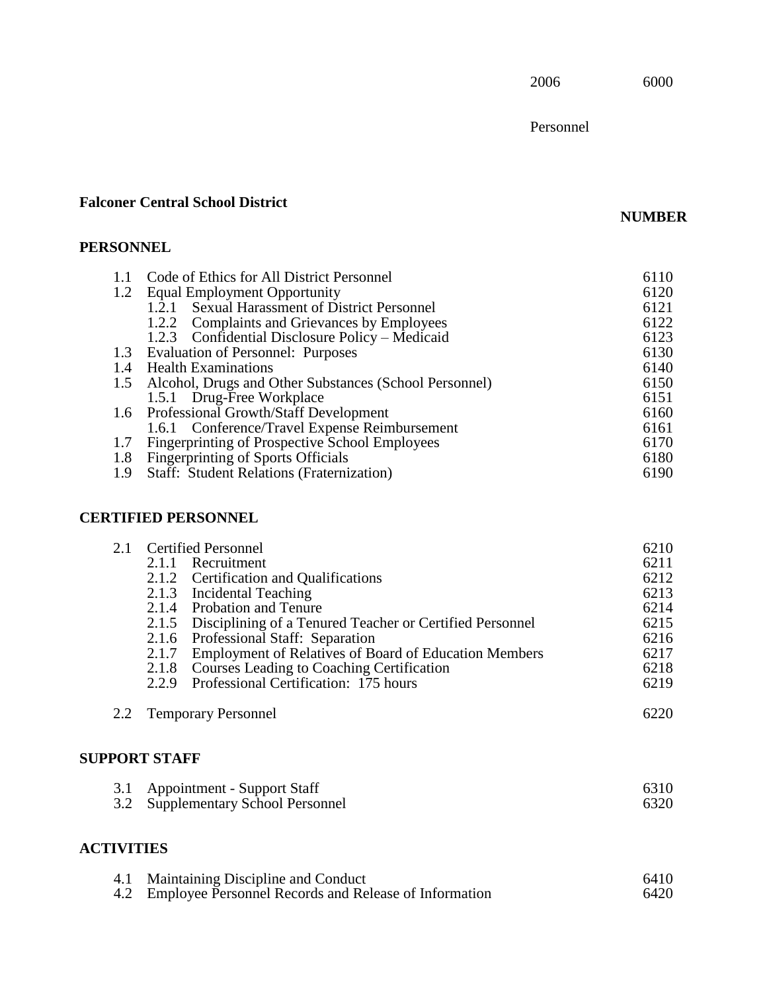2006 6000

**NUMBER**

Personnel

# **Falconer Central School District**

### **PERSONNEL**

|     | Code of Ethics for All District Personnel               | 6110 |
|-----|---------------------------------------------------------|------|
| 1.2 | Equal Employment Opportunity                            | 6120 |
|     | <b>Sexual Harassment of District Personnel</b><br>1.2.1 | 6121 |
|     | 1.2.2 Complaints and Grievances by Employees            | 6122 |
|     | 1.2.3 Confidential Disclosure Policy - Medicaid         | 6123 |
|     | 1.3 Evaluation of Personnel: Purposes                   | 6130 |
| 1.4 | <b>Health Examinations</b>                              | 6140 |
| 1.5 | Alcohol, Drugs and Other Substances (School Personnel)  | 6150 |
|     | 1.5.1 Drug-Free Workplace                               | 6151 |
|     | 1.6 Professional Growth/Staff Development               | 6160 |
|     | 1.6.1 Conference/Travel Expense Reimbursement           | 6161 |
| 1.7 | <b>Fingerprinting of Prospective School Employees</b>   | 6170 |
| 1.8 | <b>Example 2</b> Fingerprinting of Sports Officials     | 6180 |
| 1.9 | <b>Staff: Student Relations (Fraternization)</b>        | 6190 |

## **CERTIFIED PERSONNEL**

|  | 2.1 Certified Personnel |                                                                | 6210 |
|--|-------------------------|----------------------------------------------------------------|------|
|  |                         | 2.1.1 Recruitment                                              | 6211 |
|  |                         | 2.1.2 Certification and Qualifications                         | 6212 |
|  |                         | 2.1.3 Incidental Teaching                                      | 6213 |
|  |                         | 2.1.4 Probation and Tenure                                     | 6214 |
|  |                         | 2.1.5 Disciplining of a Tenured Teacher or Certified Personnel | 6215 |
|  |                         | 2.1.6 Professional Staff: Separation                           | 6216 |
|  | 2.1.7                   | <b>Employment of Relatives of Board of Education Members</b>   | 6217 |
|  |                         | 2.1.8 Courses Leading to Coaching Certification                | 6218 |
|  | 2.2.9                   | Professional Certification: 175 hours                          | 6219 |
|  |                         | 2.2 Temporary Personnel                                        | 6220 |

## **SUPPORT STAFF**

| 3.1 Appointment - Support Staff    | 6310 |
|------------------------------------|------|
| 3.2 Supplementary School Personnel | 6320 |
|                                    |      |

## **ACTIVITIES**

| 4.1 Maintaining Discipline and Conduct                    | 6410 |
|-----------------------------------------------------------|------|
| 4.2 Employee Personnel Records and Release of Information | 6420 |